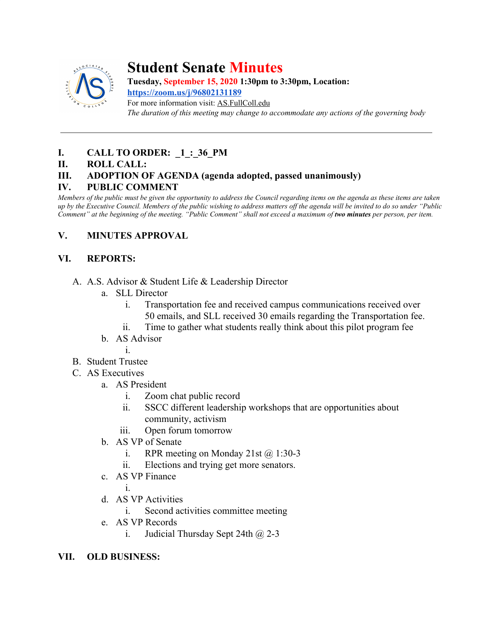

# **Student Senate Minutes**

**Tuesday, September 15, 2020 1:30pm to 3:30pm, Location:**

**<https://zoom.us/j/96802131189>** For more information visit: AS.FullColl.edu *The duration of this meeting may change to accommodate any actions of the governing body*

# **I. CALL TO ORDER:** 1:36 PM

#### **II. ROLL CALL:**

## **III. ADOPTION OF AGENDA (agenda adopted, passed unanimously)**

#### **IV. PUBLIC COMMENT**

*Members of the public must be given the opportunity to address the Council regarding items on the agenda as these items are taken up by the Executive Council. Members of the public wishing to address matters off the agenda will be invited to do so under "Public Comment" at the beginning of the meeting. "Public Comment" shall not exceed a maximum of two minutes per person, per item.*

## **V. MINUTES APPROVAL**

## **VI. REPORTS:**

- A. A.S. Advisor & Student Life & Leadership Director
	- a. SLL Director
		- i. Transportation fee and received campus communications received over 50 emails, and SLL received 30 emails regarding the Transportation fee.
		- ii. Time to gather what students really think about this pilot program fee
	- b. AS Advisor

i.

- B. Student Trustee
- C. AS Executives

#### a. AS President

- i. Zoom chat public record
- ii. SSCC different leadership workshops that are opportunities about community, activism
- iii. Open forum tomorrow
- b. AS VP of Senate
	- i. RPR meeting on Monday 21st  $\omega$  1:30-3
	- ii. Elections and trying get more senators.
- c. AS VP Finance

i.

- d. AS VP Activities
	- i. Second activities committee meeting
- e. AS VP Records
	- i. Judicial Thursday Sept 24th  $\omega$  2-3

#### **VII. OLD BUSINESS:**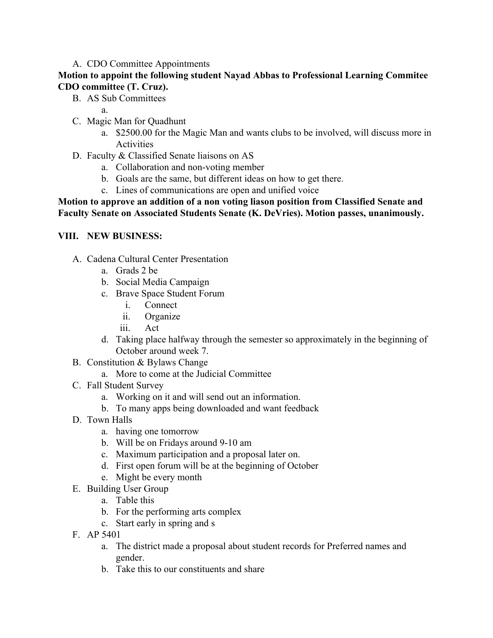#### A. CDO Committee Appointments

#### **Motion to appoint the following student Nayad Abbas to Professional Learning Commitee CDO committee (T. Cruz).**

- B. AS Sub Committees
	- a.
- C. Magic Man for Quadhunt
	- a. \$2500.00 for the Magic Man and wants clubs to be involved, will discuss more in Activities
- D. Faculty & Classified Senate liaisons on AS
	- a. Collaboration and non-voting member
	- b. Goals are the same, but different ideas on how to get there.
	- c. Lines of communications are open and unified voice

#### **Motion to approve an addition of a non voting liason position from Classified Senate and Faculty Senate on Associated Students Senate (K. DeVries). Motion passes, unanimously.**

#### **VIII. NEW BUSINESS:**

- A. Cadena Cultural Center Presentation
	- a. Grads 2 be
	- b. Social Media Campaign
	- c. Brave Space Student Forum
		- i. Connect
		- ii. Organize
		- iii. Act
	- d. Taking place halfway through the semester so approximately in the beginning of October around week 7.
- B. Constitution & Bylaws Change
	- a. More to come at the Judicial Committee
- C. Fall Student Survey
	- a. Working on it and will send out an information.
	- b. To many apps being downloaded and want feedback
- D. Town Halls
	- a. having one tomorrow
	- b. Will be on Fridays around 9-10 am
	- c. Maximum participation and a proposal later on.
	- d. First open forum will be at the beginning of October
	- e. Might be every month
- E. Building User Group
	- a. Table this
	- b. For the performing arts complex
	- c. Start early in spring and s
- F. AP 5401
	- a. The district made a proposal about student records for Preferred names and gender.
	- b. Take this to our constituents and share